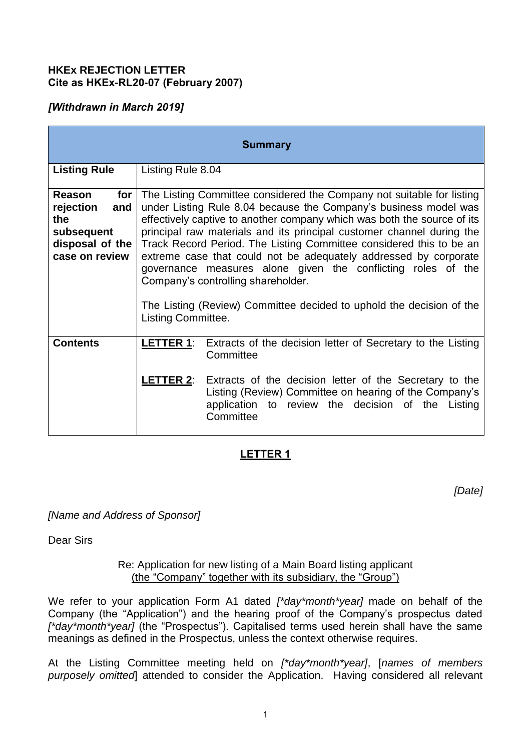#### **HKEx REJECTION LETTER Cite as HKEx-RL20-07 (February 2007)**

## *[Withdrawn in March 2019]*

| <b>Summary</b>                                                                                         |                                                                                                                                                                                                                                                                                                                                                                                                                                                                                                                                                                                                                                                     |                                                                                                                                                                                                                                                                                  |
|--------------------------------------------------------------------------------------------------------|-----------------------------------------------------------------------------------------------------------------------------------------------------------------------------------------------------------------------------------------------------------------------------------------------------------------------------------------------------------------------------------------------------------------------------------------------------------------------------------------------------------------------------------------------------------------------------------------------------------------------------------------------------|----------------------------------------------------------------------------------------------------------------------------------------------------------------------------------------------------------------------------------------------------------------------------------|
| <b>Listing Rule</b>                                                                                    | Listing Rule 8.04                                                                                                                                                                                                                                                                                                                                                                                                                                                                                                                                                                                                                                   |                                                                                                                                                                                                                                                                                  |
| for $ $<br><b>Reason</b><br>rejection<br>and<br>the<br>subsequent<br>disposal of the<br>case on review | The Listing Committee considered the Company not suitable for listing<br>under Listing Rule 8.04 because the Company's business model was<br>effectively captive to another company which was both the source of its<br>principal raw materials and its principal customer channel during the<br>Track Record Period. The Listing Committee considered this to be an<br>extreme case that could not be adequately addressed by corporate<br>governance measures alone given the conflicting roles of the<br>Company's controlling shareholder.<br>The Listing (Review) Committee decided to uphold the decision of the<br><b>Listing Committee.</b> |                                                                                                                                                                                                                                                                                  |
| <b>Contents</b>                                                                                        | LETTER 1:                                                                                                                                                                                                                                                                                                                                                                                                                                                                                                                                                                                                                                           | Extracts of the decision letter of Secretary to the Listing<br>Committee<br><b>LETTER 2:</b> Extracts of the decision letter of the Secretary to the<br>Listing (Review) Committee on hearing of the Company's<br>application to review the decision of the Listing<br>Committee |

# **LETTER 1**

*[Date]*

*[Name and Address of Sponsor]* 

Dear Sirs

Re: Application for new listing of a Main Board listing applicant (the "Company" together with its subsidiary, the "Group")

We refer to your application Form A1 dated *[\*day\*month\*year]* made on behalf of the Company (the "Application") and the hearing proof of the Company's prospectus dated *[\*day\*month\*year]* (the "Prospectus"). Capitalised terms used herein shall have the same meanings as defined in the Prospectus, unless the context otherwise requires.

At the Listing Committee meeting held on *[\*day\*month\*year]*, [*names of members purposely omitted*] attended to consider the Application. Having considered all relevant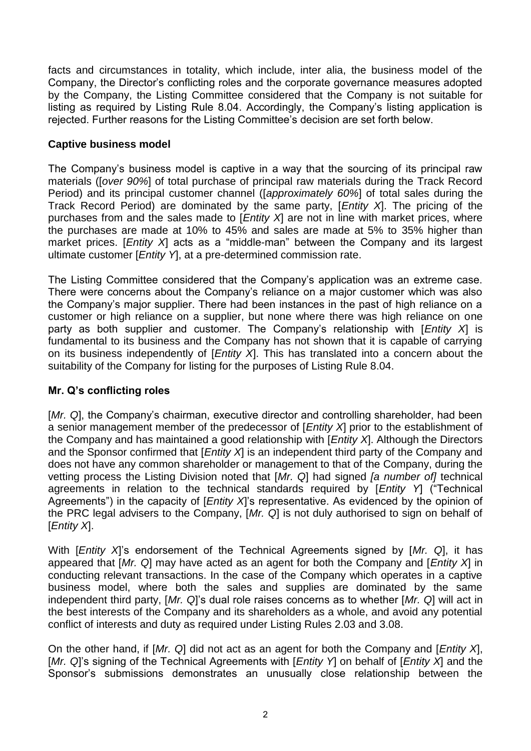facts and circumstances in totality, which include, inter alia, the business model of the Company, the Director's conflicting roles and the corporate governance measures adopted by the Company, the Listing Committee considered that the Company is not suitable for listing as required by Listing Rule 8.04. Accordingly, the Company's listing application is rejected. Further reasons for the Listing Committee's decision are set forth below.

#### **Captive business model**

The Company's business model is captive in a way that the sourcing of its principal raw materials ([*over 90%*] of total purchase of principal raw materials during the Track Record Period) and its principal customer channel ([*approximately 60%*] of total sales during the Track Record Period) are dominated by the same party, [*Entity X*]. The pricing of the purchases from and the sales made to [*Entity X*] are not in line with market prices, where the purchases are made at 10% to 45% and sales are made at 5% to 35% higher than market prices. [*Entity X*] acts as a "middle-man" between the Company and its largest ultimate customer [*Entity Y*], at a pre-determined commission rate.

The Listing Committee considered that the Company's application was an extreme case. There were concerns about the Company's reliance on a major customer which was also the Company's major supplier. There had been instances in the past of high reliance on a customer or high reliance on a supplier, but none where there was high reliance on one party as both supplier and customer. The Company's relationship with [*Entity X*] is fundamental to its business and the Company has not shown that it is capable of carrying on its business independently of [*Entity X*]. This has translated into a concern about the suitability of the Company for listing for the purposes of Listing Rule 8.04.

## **Mr. Q's conflicting roles**

[*Mr. Q*], the Company's chairman, executive director and controlling shareholder, had been a senior management member of the predecessor of [*Entity X*] prior to the establishment of the Company and has maintained a good relationship with [*Entity X*]. Although the Directors and the Sponsor confirmed that [*Entity X*] is an independent third party of the Company and does not have any common shareholder or management to that of the Company, during the vetting process the Listing Division noted that [*Mr. Q*] had signed *[a number of]* technical agreements in relation to the technical standards required by [*Entity Y*] ("Technical Agreements") in the capacity of [*Entity X*]'s representative. As evidenced by the opinion of the PRC legal advisers to the Company, [*Mr. Q*] is not duly authorised to sign on behalf of [*Entity X*].

With [*Entity X*]'s endorsement of the Technical Agreements signed by [*Mr. Q*], it has appeared that [*Mr. Q*] may have acted as an agent for both the Company and [*Entity X*] in conducting relevant transactions. In the case of the Company which operates in a captive business model, where both the sales and supplies are dominated by the same independent third party, [*Mr. Q*]'s dual role raises concerns as to whether [*Mr. Q*] will act in the best interests of the Company and its shareholders as a whole, and avoid any potential conflict of interests and duty as required under Listing Rules 2.03 and 3.08.

On the other hand, if [*Mr. Q*] did not act as an agent for both the Company and [*Entity X*], [*Mr. Q*]'s signing of the Technical Agreements with [*Entity Y*] on behalf of [*Entity X*] and the Sponsor's submissions demonstrates an unusually close relationship between the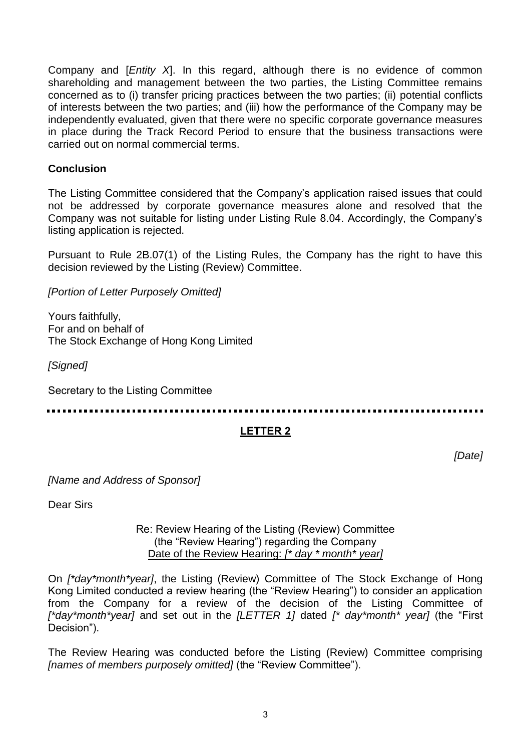Company and [*Entity X*]. In this regard, although there is no evidence of common shareholding and management between the two parties, the Listing Committee remains concerned as to (i) transfer pricing practices between the two parties; (ii) potential conflicts of interests between the two parties; and (iii) how the performance of the Company may be independently evaluated, given that there were no specific corporate governance measures in place during the Track Record Period to ensure that the business transactions were carried out on normal commercial terms.

#### **Conclusion**

The Listing Committee considered that the Company's application raised issues that could not be addressed by corporate governance measures alone and resolved that the Company was not suitable for listing under Listing Rule 8.04. Accordingly, the Company's listing application is rejected.

Pursuant to Rule 2B.07(1) of the Listing Rules, the Company has the right to have this decision reviewed by the Listing (Review) Committee.

*[Portion of Letter Purposely Omitted]* 

Yours faithfully, For and on behalf of The Stock Exchange of Hong Kong Limited

*[Signed]* 

Secretary to the Listing Committee

## **LETTER 2**

*[Date]*

*[Name and Address of Sponsor]* 

Dear Sirs

#### Re: Review Hearing of the Listing (Review) Committee (the "Review Hearing") regarding the Company Date of the Review Hearing: *[\* day \* month\* year]*

On *[\*day\*month\*year]*, the Listing (Review) Committee of The Stock Exchange of Hong Kong Limited conducted a review hearing (the "Review Hearing") to consider an application from the Company for a review of the decision of the Listing Committee of *[\*day\*month\*year]* and set out in the *[LETTER 1]* dated *[\* day\*month\* year]* (the "First Decision").

The Review Hearing was conducted before the Listing (Review) Committee comprising *[names of members purposely omitted]* (the "Review Committee").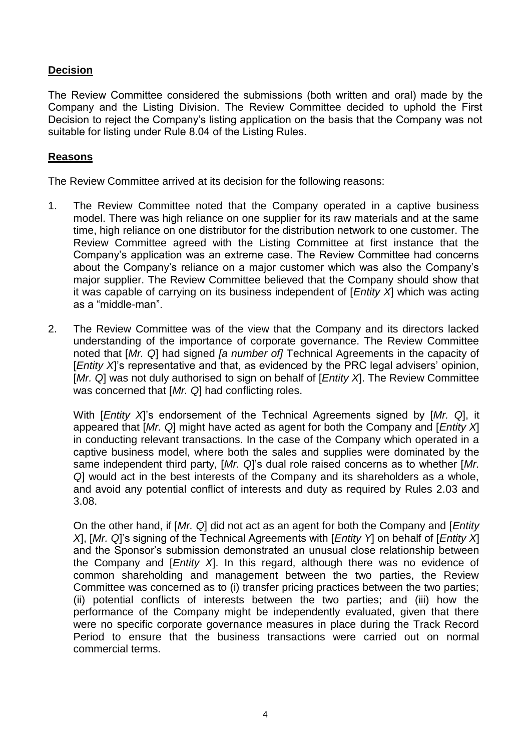## **Decision**

The Review Committee considered the submissions (both written and oral) made by the Company and the Listing Division. The Review Committee decided to uphold the First Decision to reject the Company's listing application on the basis that the Company was not suitable for listing under Rule 8.04 of the Listing Rules.

### **Reasons**

The Review Committee arrived at its decision for the following reasons:

- 1. The Review Committee noted that the Company operated in a captive business model. There was high reliance on one supplier for its raw materials and at the same time, high reliance on one distributor for the distribution network to one customer. The Review Committee agreed with the Listing Committee at first instance that the Company's application was an extreme case. The Review Committee had concerns about the Company's reliance on a major customer which was also the Company's major supplier. The Review Committee believed that the Company should show that it was capable of carrying on its business independent of [*Entity X*] which was acting as a "middle-man".
- 2. The Review Committee was of the view that the Company and its directors lacked understanding of the importance of corporate governance. The Review Committee noted that [*Mr. Q*] had signed *[a number of]* Technical Agreements in the capacity of [*Entity X*]'s representative and that, as evidenced by the PRC legal advisers' opinion, [*Mr. Q*] was not duly authorised to sign on behalf of [*Entity X*]. The Review Committee was concerned that [*Mr. Q*] had conflicting roles.

With [*Entity X*]'s endorsement of the Technical Agreements signed by [*Mr. Q*], it appeared that [*Mr. Q*] might have acted as agent for both the Company and [*Entity X*] in conducting relevant transactions. In the case of the Company which operated in a captive business model, where both the sales and supplies were dominated by the same independent third party, [*Mr. Q*]'s dual role raised concerns as to whether [*Mr. Q*] would act in the best interests of the Company and its shareholders as a whole, and avoid any potential conflict of interests and duty as required by Rules 2.03 and 3.08.

On the other hand, if [*Mr. Q*] did not act as an agent for both the Company and [*Entity X*], [*Mr. Q*]'s signing of the Technical Agreements with [*Entity Y*] on behalf of [*Entity X*] and the Sponsor's submission demonstrated an unusual close relationship between the Company and [*Entity X*]. In this regard, although there was no evidence of common shareholding and management between the two parties, the Review Committee was concerned as to (i) transfer pricing practices between the two parties; (ii) potential conflicts of interests between the two parties; and (iii) how the performance of the Company might be independently evaluated, given that there were no specific corporate governance measures in place during the Track Record Period to ensure that the business transactions were carried out on normal commercial terms.